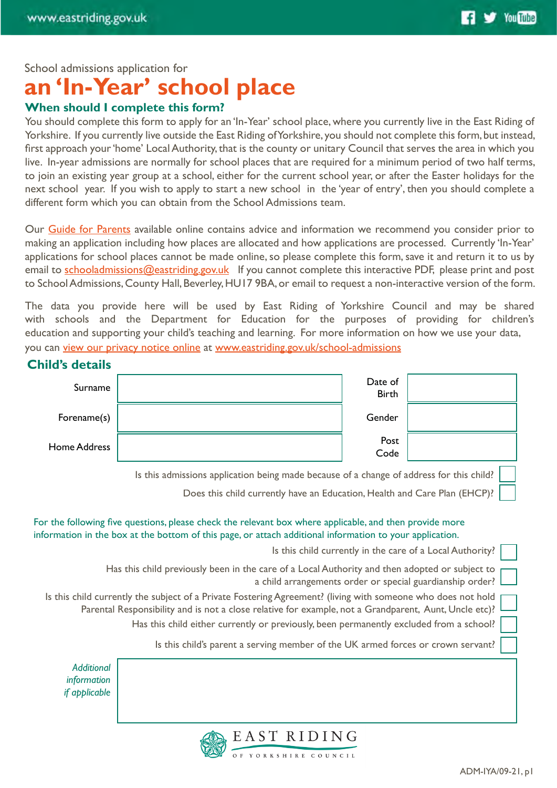School admissions application for

# **an 'In-Year' school place**

# **When should I complete this form?**

You should complete this form to apply for an 'In-Year' school place, where you currently live in the East Riding of Yorkshire. If you currently live outside the East Riding of Yorkshire, you should not complete this form, but instead, first approach your 'home' Local Authority, that is the county or unitary Council that serves the area in which you live. In-year admissions are normally for school places that are required for a minimum period of two half terms, to join an existing year group at a school, either for the current school year, or after the Easter holidays for the next school year. If you wish to apply to start a new school in the 'year of entry', then you should complete a different form which you can obtain from the School Admissions team.

Our [Guide for Parents](https://www.eastriding.gov.uk/EasySiteWeb/GatewayLink.aspx?alId=785389) available online contains advice and information we recommend you consider prior to making an application including how places are allocated and how applications are processed. Currently 'In-Year' applications for school places cannot be made online, so please complete this form, save it and return it to us by email to [schooladmissions@eastriding.gov.uk](mailto:schooladmissions%40eastriding.gov.uk?subject=School%20Admissions%20Query) If you cannot complete this interactive PDF, please print and post to School Admissions, County Hall, Beverley, HU17 9BA, or email to request a non-interactive version of the form.

The data you provide here will be used by East Riding of Yorkshire Council and may be shared with schools and the Department for Education for the purposes of providing for children's education and supporting your child's teaching and learning. For more information on how we use your data, you can [view our privacy notice online](https://www.eastriding.gov.uk/EasySiteWeb/GatewayLink.aspx?alId=781364) at [www.eastriding.gov.uk/school-admissions](http://www.eastriding.gov.uk/school-admissions)

### **Child's details**

| Surname      | Date of<br><b>Birth</b> |  |
|--------------|-------------------------|--|
| Forename(s)  | Gender                  |  |
| Home Address | Post<br>Code            |  |
|              |                         |  |

Is this admissions application being made because of a change of address for this child?

Does this child currently have an Education, Health and Care Plan (EHCP)?

# For the following five questions, please check the relevant box where applicable, and then provide more information in the box at the bottom of this page, or attach additional information to your application.

Is this child currently in the care of a Local Authority?

Has this child previously been in the care of a Local Authority and then adopted or subject to a child arrangements order or special guardianship order?

Is this child currently the subject of a Private Fostering Agreement? (living with someone who does not hold Parental Responsibility and is not a close relative for example, not a Grandparent, Aunt, Uncle etc)?

Has this child either currently or previously, been permanently excluded from a school?

Is this child's parent a serving member of the UK armed forces or crown servant?

*Additional information if applicable*

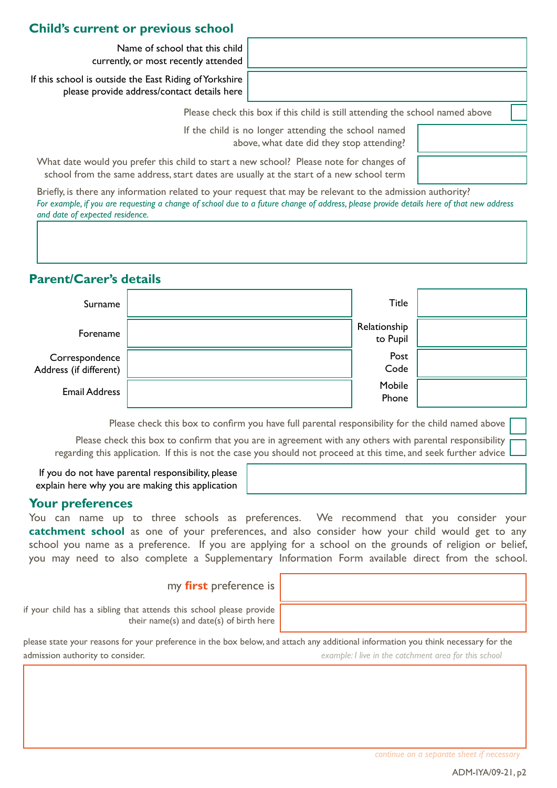## **Child's current or previous school**

Name of school that this child currently, or most recently attended

If this school is outside the East Riding of Yorkshire please provide address/contact details here

Please check this box if this child is still attending the school named above

If the child is no longer attending the school named above, what date did they stop attending?

What date would you prefer this child to start a new school? Please note for changes of school from the same address, start dates are usually at the start of a new school term

Briefly, is there any information related to your request that may be relevant to the admission authority? *For example, if you are requesting a change of school due to a future change of address, please provide details here of that new address and date of expected residence.*

# **Parent/Carer's details**

| Surname                                  | <b>Title</b>             |  |
|------------------------------------------|--------------------------|--|
| Forename                                 | Relationship<br>to Pupil |  |
| Correspondence<br>Address (if different) | Post<br>Code             |  |
| <b>Email Address</b>                     | Mobile<br>Phone          |  |

Please check this box to confirm you have full parental responsibility for the child named above

Please check this box to confirm that you are in agreement with any others with parental responsibility regarding this application. If this is not the case you should not proceed at this time, and seek further advice

If you do not have parental responsibility, please explain here why you are making this application

#### **Your preferences**

You can name up to three schools as preferences. We recommend that you consider your **catchment school** as one of your preferences, and also consider how your child would get to any school you name as a preference. If you are applying for a school on the grounds of religion or belief, you may need to also complete a Supplementary Information Form available direct from the school.

#### my **first** preference is

if your child has a sibling that attends this school please provide their name(s) and date(s) of birth here

please state your reasons for your preference in the box below, and attach any additional information you think necessary for the admission authority to consider. *example: I live in the catchment area for this school*